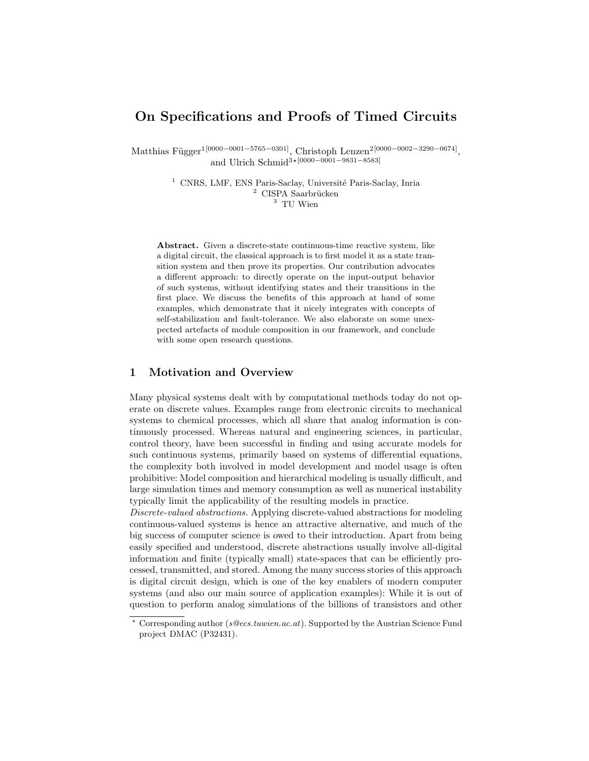# On Specifications and Proofs of Timed Circuits

Matthias Függer<sup>1[0000–0001–5765–0301]</sup>, Christoph Lenzen<sup>2[0000–0002–3290–0674]</sup> , and Ulrich Schmid<sup>3</sup>∗[0000–0001–9831–8583]

> <sup>1</sup> CNRS, LMF, ENS Paris-Saclay, Université Paris-Saclay, Inria  $2$  CISPA Saarbrücken <sup>3</sup> TII Wien

Abstract. Given a discrete-state continuous-time reactive system, like a digital circuit, the classical approach is to first model it as a state transition system and then prove its properties. Our contribution advocates a different approach: to directly operate on the input-output behavior of such systems, without identifying states and their transitions in the first place. We discuss the benefits of this approach at hand of some examples, which demonstrate that it nicely integrates with concepts of self-stabilization and fault-tolerance. We also elaborate on some unexpected artefacts of module composition in our framework, and conclude with some open research questions.

# 1 Motivation and Overview

Many physical systems dealt with by computational methods today do not operate on discrete values. Examples range from electronic circuits to mechanical systems to chemical processes, which all share that analog information is continuously processed. Whereas natural and engineering sciences, in particular, control theory, have been successful in finding and using accurate models for such continuous systems, primarily based on systems of differential equations, the complexity both involved in model development and model usage is often prohibitive: Model composition and hierarchical modeling is usually difficult, and large simulation times and memory consumption as well as numerical instability typically limit the applicability of the resulting models in practice.

Discrete-valued abstractions. Applying discrete-valued abstractions for modeling continuous-valued systems is hence an attractive alternative, and much of the big success of computer science is owed to their introduction. Apart from being easily specified and understood, discrete abstractions usually involve all-digital information and finite (typically small) state-spaces that can be efficiently processed, transmitted, and stored. Among the many success stories of this approach is digital circuit design, which is one of the key enablers of modern computer systems (and also our main source of application examples): While it is out of question to perform analog simulations of the billions of transistors and other

 $\star$  Corresponding author (s@ecs.tuwien.ac.at). Supported by the Austrian Science Fund project DMAC (P32431).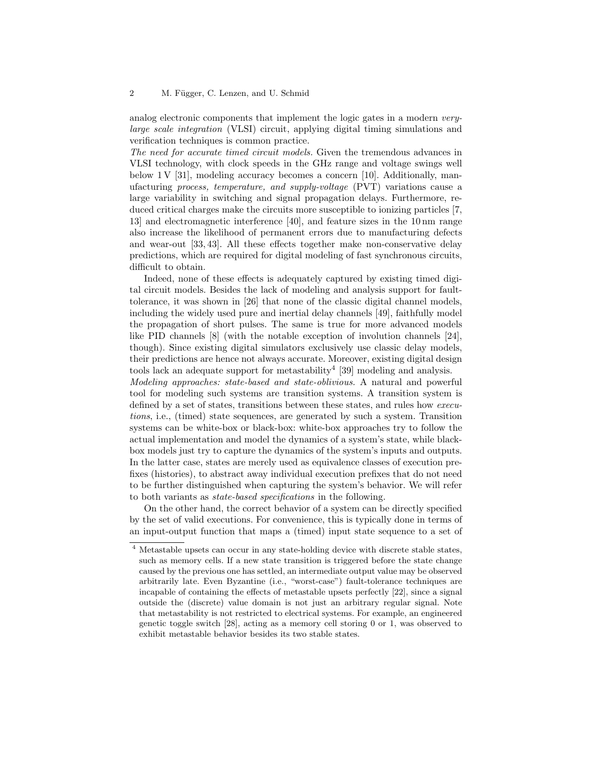analog electronic components that implement the logic gates in a modern verylarge scale integration (VLSI) circuit, applying digital timing simulations and verification techniques is common practice.

The need for accurate timed circuit models. Given the tremendous advances in VLSI technology, with clock speeds in the GHz range and voltage swings well below  $1 \text{V}$  [31], modeling accuracy becomes a concern [10]. Additionally, manufacturing process, temperature, and supply-voltage (PVT) variations cause a large variability in switching and signal propagation delays. Furthermore, reduced critical charges make the circuits more susceptible to ionizing particles [7, 13] and electromagnetic interference [40], and feature sizes in the 10 nm range also increase the likelihood of permanent errors due to manufacturing defects and wear-out [33, 43]. All these effects together make non-conservative delay predictions, which are required for digital modeling of fast synchronous circuits, difficult to obtain.

Indeed, none of these effects is adequately captured by existing timed digital circuit models. Besides the lack of modeling and analysis support for faulttolerance, it was shown in [26] that none of the classic digital channel models, including the widely used pure and inertial delay channels [49], faithfully model the propagation of short pulses. The same is true for more advanced models like PID channels [8] (with the notable exception of involution channels [24], though). Since existing digital simulators exclusively use classic delay models, their predictions are hence not always accurate. Moreover, existing digital design tools lack an adequate support for metastability<sup>4</sup> [39] modeling and analysis.

Modeling approaches: state-based and state-oblivious. A natural and powerful tool for modeling such systems are transition systems. A transition system is defined by a set of states, transitions between these states, and rules how executions, i.e., (timed) state sequences, are generated by such a system. Transition systems can be white-box or black-box: white-box approaches try to follow the actual implementation and model the dynamics of a system's state, while blackbox models just try to capture the dynamics of the system's inputs and outputs. In the latter case, states are merely used as equivalence classes of execution prefixes (histories), to abstract away individual execution prefixes that do not need to be further distinguished when capturing the system's behavior. We will refer to both variants as state-based specifications in the following.

On the other hand, the correct behavior of a system can be directly specified by the set of valid executions. For convenience, this is typically done in terms of an input-output function that maps a (timed) input state sequence to a set of

<sup>4</sup> Metastable upsets can occur in any state-holding device with discrete stable states, such as memory cells. If a new state transition is triggered before the state change caused by the previous one has settled, an intermediate output value may be observed arbitrarily late. Even Byzantine (i.e., "worst-case") fault-tolerance techniques are incapable of containing the effects of metastable upsets perfectly [22], since a signal outside the (discrete) value domain is not just an arbitrary regular signal. Note that metastability is not restricted to electrical systems. For example, an engineered genetic toggle switch [28], acting as a memory cell storing 0 or 1, was observed to exhibit metastable behavior besides its two stable states.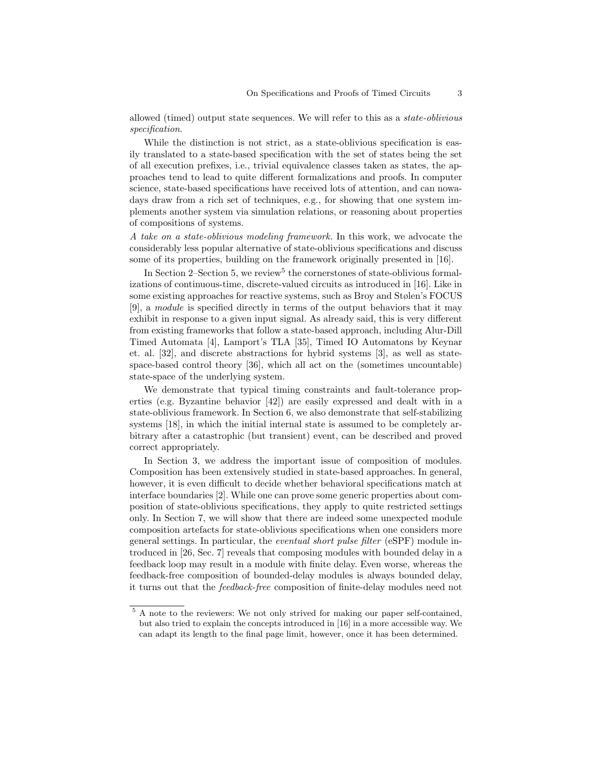allowed (timed) output state sequences. We will refer to this as a state-oblivious specification.

While the distinction is not strict, as a state-oblivious specification is easily translated to a state-based specification with the set of states being the set of all execution prefixes, i.e., trivial equivalence classes taken as states, the approaches tend to lead to quite different formalizations and proofs. In computer science, state-based specifications have received lots of attention, and can nowadays draw from a rich set of techniques, e.g., for showing that one system implements another system via simulation relations, or reasoning about properties of compositions of systems.

A take on a state-oblivious modeling framework. In this work, we advocate the considerably less popular alternative of state-oblivious specifications and discuss some of its properties, building on the framework originally presented in [16].

In Section 2–Section 5, we review<sup>5</sup> the cornerstones of state-oblivious formalizations of continuous-time, discrete-valued circuits as introduced in [16]. Like in some existing approaches for reactive systems, such as Broy and Stølen's FOCUS [9], a module is specified directly in terms of the output behaviors that it may exhibit in response to a given input signal. As already said, this is very different from existing frameworks that follow a state-based approach, including Alur-Dill Timed Automata [4], Lamport's TLA [35], Timed IO Automatons by Keynar et. al. [32], and discrete abstractions for hybrid systems [3], as well as statespace-based control theory [36], which all act on the (sometimes uncountable) state-space of the underlying system.

We demonstrate that typical timing constraints and fault-tolerance properties (e.g. Byzantine behavior [42]) are easily expressed and dealt with in a state-oblivious framework. In Section 6, we also demonstrate that self-stabilizing systems [18], in which the initial internal state is assumed to be completely arbitrary after a catastrophic (but transient) event, can be described and proved correct appropriately.

In Section 3, we address the important issue of composition of modules. Composition has been extensively studied in state-based approaches. In general, however, it is even difficult to decide whether behavioral specifications match at interface boundaries [2]. While one can prove some generic properties about composition of state-oblivious specifications, they apply to quite restricted settings only. In Section 7, we will show that there are indeed some unexpected module composition artefacts for state-oblivious specifications when one considers more general settings. In particular, the eventual short pulse filter (eSPF) module introduced in [26, Sec. 7] reveals that composing modules with bounded delay in a feedback loop may result in a module with finite delay. Even worse, whereas the feedback-free composition of bounded-delay modules is always bounded delay, it turns out that the feedback-free composition of finite-delay modules need not

<sup>&</sup>lt;sup>5</sup> A note to the reviewers: We not only strived for making our paper self-contained, but also tried to explain the concepts introduced in [16] in a more accessible way. We can adapt its length to the final page limit, however, once it has been determined.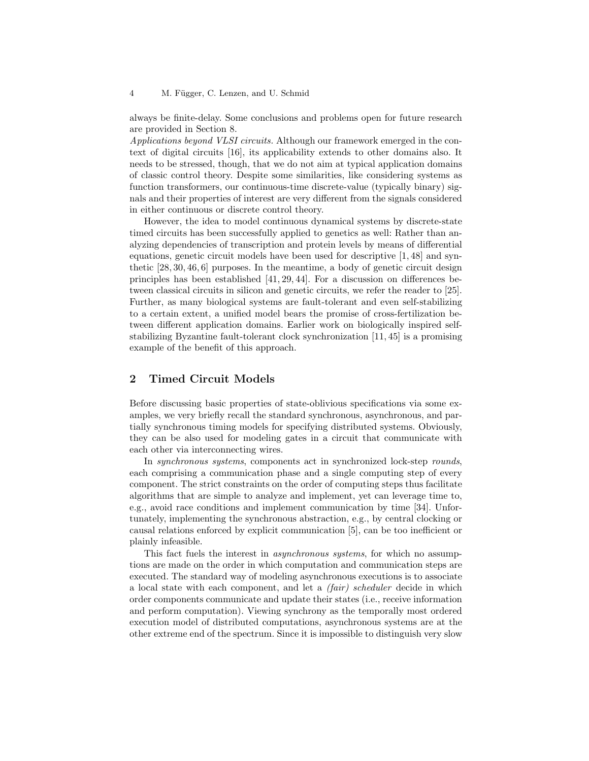always be finite-delay. Some conclusions and problems open for future research are provided in Section 8.

Applications beyond VLSI circuits. Although our framework emerged in the context of digital circuits [16], its applicability extends to other domains also. It needs to be stressed, though, that we do not aim at typical application domains of classic control theory. Despite some similarities, like considering systems as function transformers, our continuous-time discrete-value (typically binary) signals and their properties of interest are very different from the signals considered in either continuous or discrete control theory.

However, the idea to model continuous dynamical systems by discrete-state timed circuits has been successfully applied to genetics as well: Rather than analyzing dependencies of transcription and protein levels by means of differential equations, genetic circuit models have been used for descriptive [1, 48] and synthetic  $[28, 30, 46, 6]$  purposes. In the meantime, a body of genetic circuit design principles has been established [41, 29, 44]. For a discussion on differences between classical circuits in silicon and genetic circuits, we refer the reader to [25]. Further, as many biological systems are fault-tolerant and even self-stabilizing to a certain extent, a unified model bears the promise of cross-fertilization between different application domains. Earlier work on biologically inspired selfstabilizing Byzantine fault-tolerant clock synchronization [11, 45] is a promising example of the benefit of this approach.

# 2 Timed Circuit Models

Before discussing basic properties of state-oblivious specifications via some examples, we very briefly recall the standard synchronous, asynchronous, and partially synchronous timing models for specifying distributed systems. Obviously, they can be also used for modeling gates in a circuit that communicate with each other via interconnecting wires.

In synchronous systems, components act in synchronized lock-step rounds, each comprising a communication phase and a single computing step of every component. The strict constraints on the order of computing steps thus facilitate algorithms that are simple to analyze and implement, yet can leverage time to, e.g., avoid race conditions and implement communication by time [34]. Unfortunately, implementing the synchronous abstraction, e.g., by central clocking or causal relations enforced by explicit communication [5], can be too inefficient or plainly infeasible.

This fact fuels the interest in *asynchronous systems*, for which no assumptions are made on the order in which computation and communication steps are executed. The standard way of modeling asynchronous executions is to associate a local state with each component, and let a (fair) scheduler decide in which order components communicate and update their states (i.e., receive information and perform computation). Viewing synchrony as the temporally most ordered execution model of distributed computations, asynchronous systems are at the other extreme end of the spectrum. Since it is impossible to distinguish very slow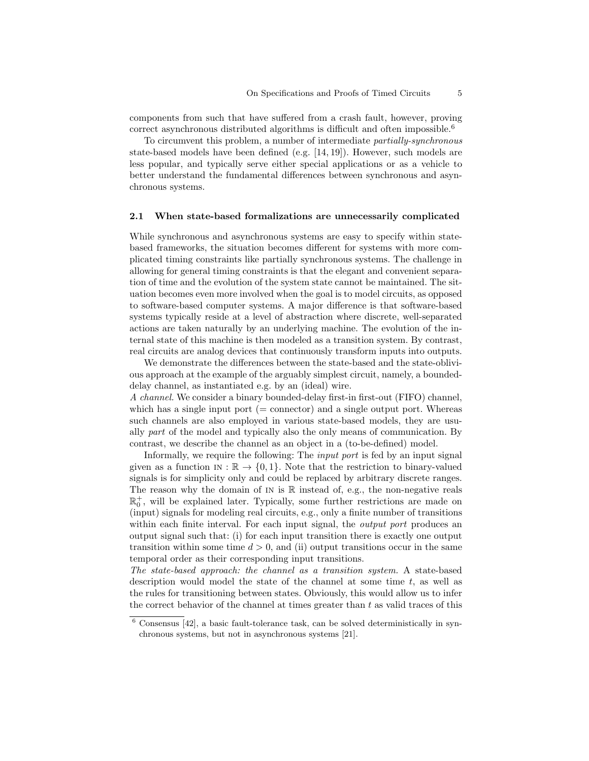components from such that have suffered from a crash fault, however, proving correct asynchronous distributed algorithms is difficult and often impossible.<sup>6</sup>

To circumvent this problem, a number of intermediate partially-synchronous state-based models have been defined (e.g. [14, 19]). However, such models are less popular, and typically serve either special applications or as a vehicle to better understand the fundamental differences between synchronous and asynchronous systems.

#### 2.1 When state-based formalizations are unnecessarily complicated

While synchronous and asynchronous systems are easy to specify within statebased frameworks, the situation becomes different for systems with more complicated timing constraints like partially synchronous systems. The challenge in allowing for general timing constraints is that the elegant and convenient separation of time and the evolution of the system state cannot be maintained. The situation becomes even more involved when the goal is to model circuits, as opposed to software-based computer systems. A major difference is that software-based systems typically reside at a level of abstraction where discrete, well-separated actions are taken naturally by an underlying machine. The evolution of the internal state of this machine is then modeled as a transition system. By contrast, real circuits are analog devices that continuously transform inputs into outputs.

We demonstrate the differences between the state-based and the state-oblivious approach at the example of the arguably simplest circuit, namely, a boundeddelay channel, as instantiated e.g. by an (ideal) wire.

A channel. We consider a binary bounded-delay first-in first-out (FIFO) channel, which has a single input port  $($  = connector) and a single output port. Whereas such channels are also employed in various state-based models, they are usually part of the model and typically also the only means of communication. By contrast, we describe the channel as an object in a (to-be-defined) model.

Informally, we require the following: The *input port* is fed by an input signal given as a function  $\text{IN} : \mathbb{R} \to \{0, 1\}$ . Note that the restriction to binary-valued signals is for simplicity only and could be replaced by arbitrary discrete ranges. The reason why the domain of  $\text{IN}$  is  $\mathbb R$  instead of, e.g., the non-negative reals  $\mathbb{R}^+_0$ , will be explained later. Typically, some further restrictions are made on (input) signals for modeling real circuits, e.g., only a finite number of transitions within each finite interval. For each input signal, the *output port* produces an output signal such that: (i) for each input transition there is exactly one output transition within some time  $d > 0$ , and (ii) output transitions occur in the same temporal order as their corresponding input transitions.

The state-based approach: the channel as a transition system. A state-based description would model the state of the channel at some time  $t$ , as well as the rules for transitioning between states. Obviously, this would allow us to infer the correct behavior of the channel at times greater than  $t$  as valid traces of this

 $6$  Consensus [42], a basic fault-tolerance task, can be solved deterministically in synchronous systems, but not in asynchronous systems [21].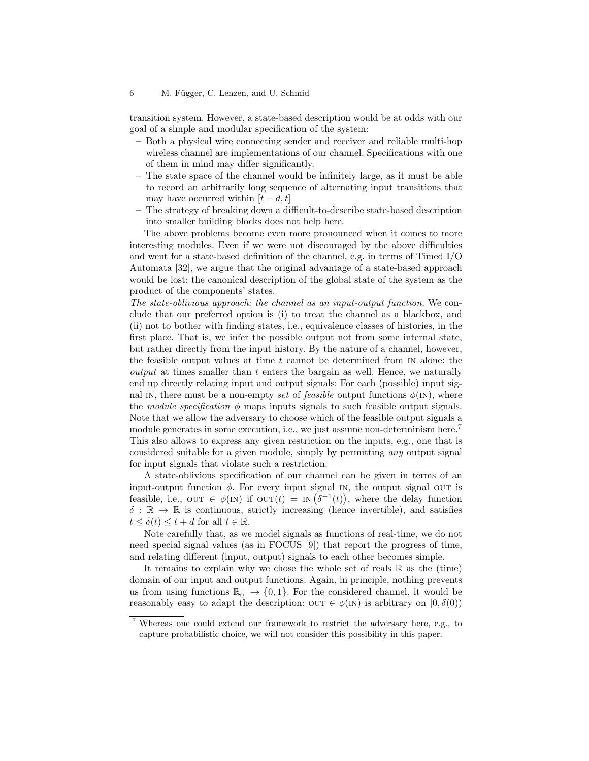#### 6 M. Függer, C. Lenzen, and U. Schmid

transition system. However, a state-based description would be at odds with our goal of a simple and modular specification of the system:

- Both a physical wire connecting sender and receiver and reliable multi-hop wireless channel are implementations of our channel. Specifications with one of them in mind may differ significantly.
- The state space of the channel would be infinitely large, as it must be able to record an arbitrarily long sequence of alternating input transitions that may have occurred within  $[t - d, t]$
- The strategy of breaking down a difficult-to-describe state-based description into smaller building blocks does not help here.

The above problems become even more pronounced when it comes to more interesting modules. Even if we were not discouraged by the above difficulties and went for a state-based definition of the channel, e.g. in terms of Timed I/O Automata [32], we argue that the original advantage of a state-based approach would be lost: the canonical description of the global state of the system as the product of the components' states.

The state-oblivious approach: the channel as an input-output function. We conclude that our preferred option is (i) to treat the channel as a blackbox, and (ii) not to bother with finding states, i.e., equivalence classes of histories, in the first place. That is, we infer the possible output not from some internal state, but rather directly from the input history. By the nature of a channel, however, the feasible output values at time  $t$  cannot be determined from  $N$  alone: the output at times smaller than t enters the bargain as well. Hence, we naturally end up directly relating input and output signals: For each (possible) input signal IN, there must be a non-empty set of feasible output functions  $\phi$ (IN), where the module specification  $\phi$  maps inputs signals to such feasible output signals. Note that we allow the adversary to choose which of the feasible output signals a module generates in some execution, i.e., we just assume non-determinism here.<sup>7</sup> This also allows to express any given restriction on the inputs, e.g., one that is considered suitable for a given module, simply by permitting any output signal for input signals that violate such a restriction.

A state-oblivious specification of our channel can be given in terms of an input-output function  $\phi$ . For every input signal in, the output signal out is feasible, i.e.,  $\text{OUT } \in \phi(\text{IN})$  if  $\text{OUT}(t) = \text{IN}(\delta^{-1}(t)),$  where the delay function  $\delta : \mathbb{R} \to \mathbb{R}$  is continuous, strictly increasing (hence invertible), and satisfies  $t \leq \delta(t) \leq t + d$  for all  $t \in \mathbb{R}$ .

Note carefully that, as we model signals as functions of real-time, we do not need special signal values (as in FOCUS [9]) that report the progress of time, and relating different (input, output) signals to each other becomes simple.

It remains to explain why we chose the whole set of reals  $\mathbb R$  as the (time) domain of our input and output functions. Again, in principle, nothing prevents us from using functions  $\mathbb{R}_0^+ \to \{0,1\}$ . For the considered channel, it would be reasonably easy to adapt the description:  $OUT \in \phi(IN)$  is arbitrary on  $[0, \delta(0))$ 

<sup>7</sup> Whereas one could extend our framework to restrict the adversary here, e.g., to capture probabilistic choice, we will not consider this possibility in this paper.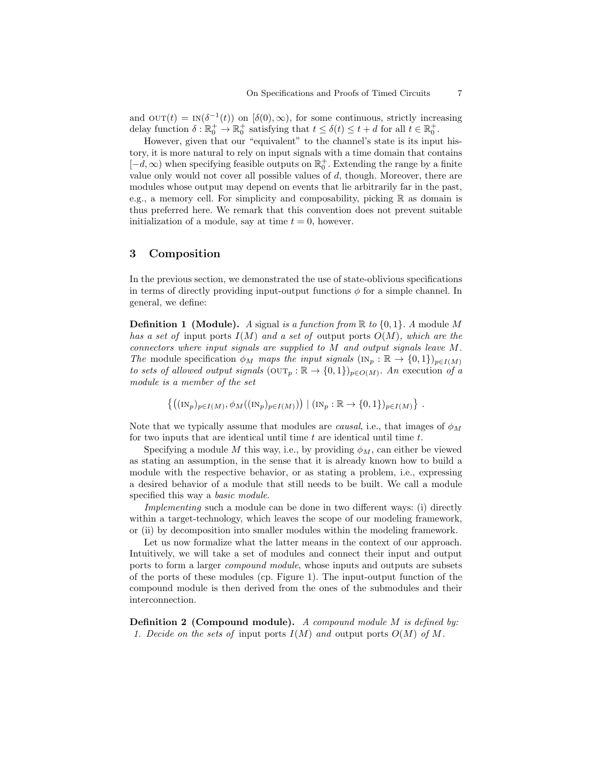and  $\text{OUT}(t) = \text{IN}(\delta^{-1}(t))$  on  $[\delta(0), \infty)$ , for some continuous, strictly increasing delay function  $\delta : \mathbb{R}_0^+ \to \mathbb{R}_0^+$  satisfying that  $t \leq \delta(t) \leq t + d$  for all  $t \in \mathbb{R}_0^+$ .

However, given that our "equivalent" to the channel's state is its input history, it is more natural to rely on input signals with a time domain that contains  $[-d, \infty)$  when specifying feasible outputs on  $\mathbb{R}^+_0$ . Extending the range by a finite value only would not cover all possible values of  $d$ , though. Moreover, there are modules whose output may depend on events that lie arbitrarily far in the past, e.g., a memory cell. For simplicity and composability, picking  $\mathbb R$  as domain is thus preferred here. We remark that this convention does not prevent suitable initialization of a module, say at time  $t = 0$ , however.

### 3 Composition

In the previous section, we demonstrated the use of state-oblivious specifications in terms of directly providing input-output functions  $\phi$  for a simple channel. In general, we define:

**Definition 1** (Module). A signal is a function from  $\mathbb{R}$  to  $\{0,1\}$ . A module M has a set of input ports  $I(M)$  and a set of output ports  $O(M)$ , which are the connectors where input signals are supplied to M and output signals leave M. The module specification  $\phi_M$  maps the input signals  $(\text{IN}_p : \mathbb{R} \to \{0,1\})_{p \in I(M)}$ to sets of allowed output signals  $(OUT<sub>p</sub> : \mathbb{R} \rightarrow \{0,1\})_{p \in O(M)}$ . An execution of a module is a member of the set

$$
\{((\mathrm{IN}_p)_{p\in I(M)}, \phi_M((\mathrm{IN}_p)_{p\in I(M)})) \mid (\mathrm{IN}_p : \mathbb{R} \to \{0,1\})_{p\in I(M)}\}.
$$

Note that we typically assume that modules are *causal*, i.e., that images of  $\phi_M$ for two inputs that are identical until time  $t$  are identical until time  $t$ .

Specifying a module M this way, i.e., by providing  $\phi_M$ , can either be viewed as stating an assumption, in the sense that it is already known how to build a module with the respective behavior, or as stating a problem, i.e., expressing a desired behavior of a module that still needs to be built. We call a module specified this way a basic module.

Implementing such a module can be done in two different ways: (i) directly within a target-technology, which leaves the scope of our modeling framework, or (ii) by decomposition into smaller modules within the modeling framework.

Let us now formalize what the latter means in the context of our approach. Intuitively, we will take a set of modules and connect their input and output ports to form a larger compound module, whose inputs and outputs are subsets of the ports of these modules (cp. Figure 1). The input-output function of the compound module is then derived from the ones of the submodules and their interconnection.

**Definition 2 (Compound module).** A compound module  $M$  is defined by: 1. Decide on the sets of input ports  $I(M)$  and output ports  $O(M)$  of M.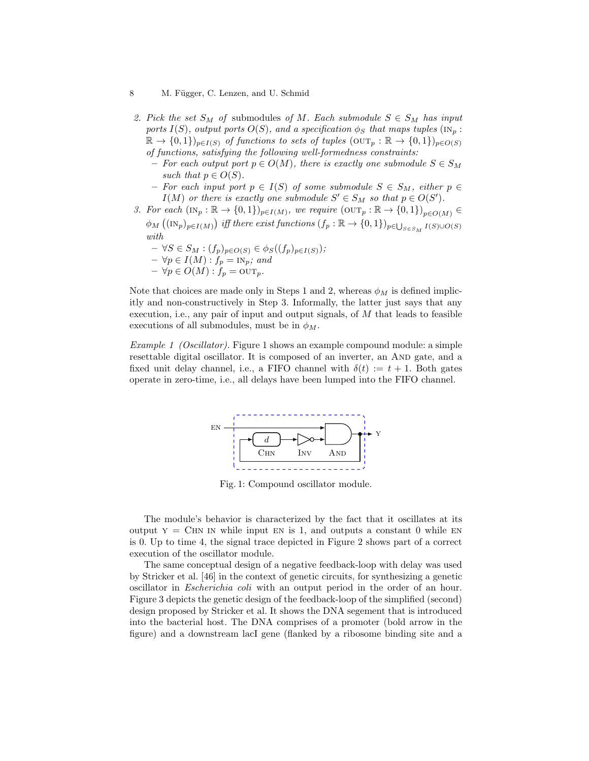#### 8 M. Függer, C. Lenzen, and U. Schmid

- 2. Pick the set  $S_M$  of submodules of M. Each submodule  $S \in S_M$  has input ports  $I(S)$ , output ports  $O(S)$ , and a specification  $\phi_S$  that maps tuples ( $\text{IN}_p$ :  $\mathbb{R} \to \{0,1\}_{p \in I(S)}$  of functions to sets of tuples  $(\text{OUT}_p : \mathbb{R} \to \{0,1\})_{p \in O(S)}$ of functions, satisfying the following well-formedness constraints:
	- For each output port  $p \in O(M)$ , there is exactly one submodule  $S \in S_M$ such that  $p \in O(S)$ .
	- For each input port  $p \in I(S)$  of some submodule  $S \in S_M$ , either  $p \in$  $I(M)$  or there is exactly one submodule  $S' \in S_M$  so that  $p \in O(S')$ .
- 3. For each  $(\text{IN}_p : \mathbb{R} \to \{0,1\})_{p \in I(M)}$ , we require  $(\text{OUT}_p : \mathbb{R} \to \{0,1\})_{p \in O(M)} \in$  $\phi_M((\text{IN}_p)_{p\in I(M)})$  iff there exist functions  $(f_p : \mathbb{R} \to \{0,1\})_{p \in \bigcup_{S \in S_M} I(S) \cup O(S)}$ with
	- $\forall S \in S_M : (f_p)_{p \in O(S)} \in \phi_S((f_p)_{p \in I(S)})$ ;  $- \forall p \in I(M) : f_p = \text{IN}_p$ ; and  $- \forall p \in O(M) : f_p = \text{OUT}_p.$

Note that choices are made only in Steps 1 and 2, whereas  $\phi_M$  is defined implicitly and non-constructively in Step 3. Informally, the latter just says that any execution, i.e., any pair of input and output signals, of  $M$  that leads to feasible executions of all submodules, must be in  $\phi_M$ .

Example 1 (Oscillator). Figure 1 shows an example compound module: a simple resettable digital oscillator. It is composed of an inverter, an AND gate, and a fixed unit delay channel, i.e., a FIFO channel with  $\delta(t) := t + 1$ . Both gates operate in zero-time, i.e., all delays have been lumped into the FIFO channel.



Fig. 1: Compound oscillator module.

The module's behavior is characterized by the fact that it oscillates at its output  $y = CHN IN$  while input EN is 1, and outputs a constant 0 while EN is 0. Up to time 4, the signal trace depicted in Figure 2 shows part of a correct execution of the oscillator module.

The same conceptual design of a negative feedback-loop with delay was used by Stricker et al. [46] in the context of genetic circuits, for synthesizing a genetic oscillator in Escherichia coli with an output period in the order of an hour. Figure 3 depicts the genetic design of the feedback-loop of the simplified (second) design proposed by Stricker et al. It shows the DNA segement that is introduced into the bacterial host. The DNA comprises of a promoter (bold arrow in the figure) and a downstream lacI gene (flanked by a ribosome binding site and a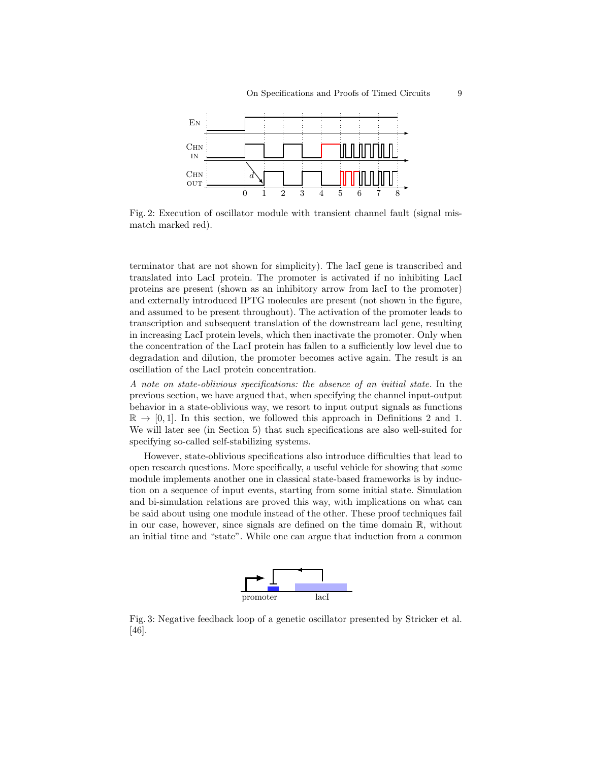

Fig. 2: Execution of oscillator module with transient channel fault (signal mismatch marked red).

terminator that are not shown for simplicity). The lacI gene is transcribed and translated into LacI protein. The promoter is activated if no inhibiting LacI proteins are present (shown as an inhibitory arrow from lacI to the promoter) and externally introduced IPTG molecules are present (not shown in the figure, and assumed to be present throughout). The activation of the promoter leads to transcription and subsequent translation of the downstream lacI gene, resulting in increasing LacI protein levels, which then inactivate the promoter. Only when the concentration of the LacI protein has fallen to a sufficiently low level due to degradation and dilution, the promoter becomes active again. The result is an oscillation of the LacI protein concentration.

A note on state-oblivious specifications: the absence of an initial state. In the previous section, we have argued that, when specifying the channel input-output behavior in a state-oblivious way, we resort to input output signals as functions  $\mathbb{R} \to [0, 1]$ . In this section, we followed this approach in Definitions 2 and 1. We will later see (in Section 5) that such specifications are also well-suited for specifying so-called self-stabilizing systems.

However, state-oblivious specifications also introduce difficulties that lead to open research questions. More specifically, a useful vehicle for showing that some module implements another one in classical state-based frameworks is by induction on a sequence of input events, starting from some initial state. Simulation and bi-simulation relations are proved this way, with implications on what can be said about using one module instead of the other. These proof techniques fail in our case, however, since signals are defined on the time domain R, without an initial time and "state". While one can argue that induction from a common



Fig. 3: Negative feedback loop of a genetic oscillator presented by Stricker et al. [46].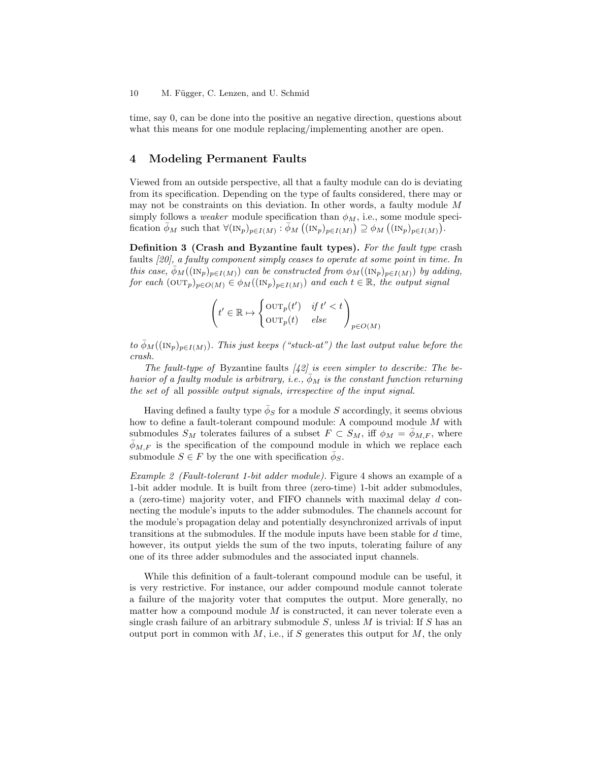time, say 0, can be done into the positive an negative direction, questions about what this means for one module replacing/implementing another are open.

### 4 Modeling Permanent Faults

Viewed from an outside perspective, all that a faulty module can do is deviating from its specification. Depending on the type of faults considered, there may or may not be constraints on this deviation. In other words, a faulty module M simply follows a *weaker* module specification than  $\phi_M$ , i.e., some module specification  $\bar{\phi}_M$  such that  $\forall (\text{IN}_p)_{p \in I(M)} : \bar{\phi}_M((\text{IN}_p)_{p \in I(M)}) \supseteq \phi_M((\text{IN}_p)_{p \in I(M)})$ .

Definition 3 (Crash and Byzantine fault types). For the fault type crash faults [20], a faulty component simply ceases to operate at some point in time. In this case,  $\bar{\phi}_M((\mathrm{IN}_p)_{p\in I(M)})$  can be constructed from  $\phi_M((\mathrm{IN}_p)_{p\in I(M)})$  by adding, for each  $(\text{OUT}_p)_{p \in O(M)} \in \phi_M((\text{IN}_p)_{p \in I(M)})$  and each  $t \in \mathbb{R}$ , the output signal

$$
\left(t' \in \mathbb{R} \mapsto \begin{cases} \text{OUT}_p(t') & \text{if } t' < t \\ \text{OUT}_p(t) & \text{else} \end{cases}\right)_{p \in O(M)}
$$

to  $\bar{\phi}_M((\mathrm{IN}_p)_{p\in I(M)})$ . This just keeps ("stuck-at") the last output value before the crash.

The fault-type of Byzantine faults  $[42]$  is even simpler to describe: The behavior of a faulty module is arbitrary, i.e.,  $\overline{\phi}_M$  is the constant function returning the set of all possible output signals, irrespective of the input signal.

Having defined a faulty type  $\bar{\phi}_S$  for a module S accordingly, it seems obvious how to define a fault-tolerant compound module: A compound module  $M$  with submodules  $S_M$  tolerates failures of a subset  $F \subset S_M$ , iff  $\phi_M = \bar{\phi}_{M,F}$ , where  $\bar{\phi}_{M,F}$  is the specification of the compound module in which we replace each submodule  $S \in F$  by the one with specification  $\bar{\phi}_S$ .

Example 2 (Fault-tolerant 1-bit adder module). Figure 4 shows an example of a 1-bit adder module. It is built from three (zero-time) 1-bit adder submodules, a (zero-time) majority voter, and FIFO channels with maximal delay d connecting the module's inputs to the adder submodules. The channels account for the module's propagation delay and potentially desynchronized arrivals of input transitions at the submodules. If the module inputs have been stable for  $d$  time, however, its output yields the sum of the two inputs, tolerating failure of any one of its three adder submodules and the associated input channels.

While this definition of a fault-tolerant compound module can be useful, it is very restrictive. For instance, our adder compound module cannot tolerate a failure of the majority voter that computes the output. More generally, no matter how a compound module  $M$  is constructed, it can never tolerate even a single crash failure of an arbitrary submodule  $S$ , unless  $M$  is trivial: If  $S$  has an output port in common with  $M$ , i.e., if S generates this output for  $M$ , the only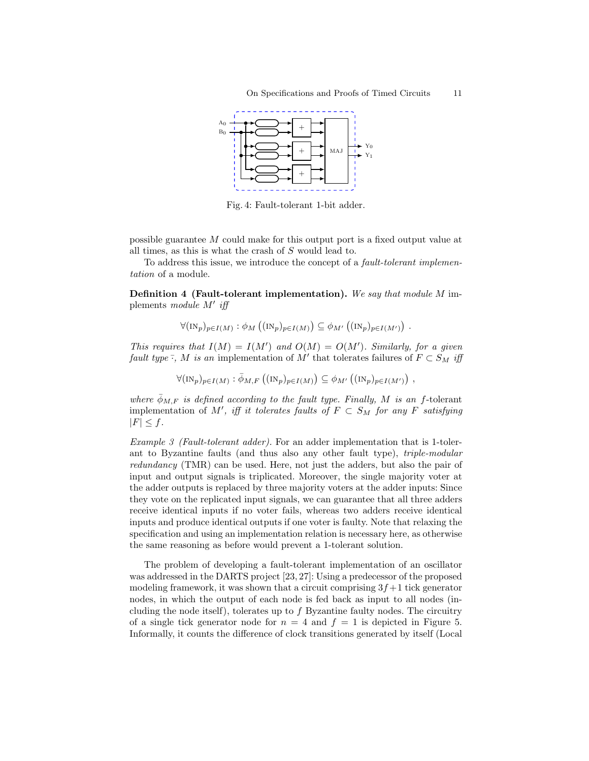

Fig. 4: Fault-tolerant 1-bit adder.

possible guarantee M could make for this output port is a fixed output value at all times, as this is what the crash of S would lead to.

To address this issue, we introduce the concept of a fault-tolerant implementation of a module.

Definition 4 (Fault-tolerant implementation). We say that module M implements module M' iff

$$
\forall (\text{IN}_p)_{p \in I(M)} : \phi_M \left( (\text{IN}_p)_{p \in I(M)} \right) \subseteq \phi_{M'} \left( (\text{IN}_p)_{p \in I(M')} \right) .
$$

This requires that  $I(M) = I(M')$  and  $O(M) = O(M')$ . Similarly, for a given fault type  $\overline{\cdot}$ , M is an implementation of M' that tolerates failures of  $F \subset S_M$  iff

$$
\forall (\text{IN}_p)_{p \in I(M)} : \bar{\phi}_{M,F} ((\text{IN}_p)_{p \in I(M)}) \subseteq \phi_{M'} ((\text{IN}_p)_{p \in I(M')}) ,
$$

where  $\bar{\phi}_{M,F}$  is defined according to the fault type. Finally, M is an f-tolerant implementation of M', iff it tolerates faults of  $F \subset S_M$  for any F satisfying  $|F| \leq f$ .

Example 3 (Fault-tolerant adder). For an adder implementation that is 1-tolerant to Byzantine faults (and thus also any other fault type), triple-modular redundancy (TMR) can be used. Here, not just the adders, but also the pair of input and output signals is triplicated. Moreover, the single majority voter at the adder outputs is replaced by three majority voters at the adder inputs: Since they vote on the replicated input signals, we can guarantee that all three adders receive identical inputs if no voter fails, whereas two adders receive identical inputs and produce identical outputs if one voter is faulty. Note that relaxing the specification and using an implementation relation is necessary here, as otherwise the same reasoning as before would prevent a 1-tolerant solution.

The problem of developing a fault-tolerant implementation of an oscillator was addressed in the DARTS project [23, 27]: Using a predecessor of the proposed modeling framework, it was shown that a circuit comprising  $3f+1$  tick generator nodes, in which the output of each node is fed back as input to all nodes (including the node itself), tolerates up to  $f$  Byzantine faulty nodes. The circuitry of a single tick generator node for  $n = 4$  and  $f = 1$  is depicted in Figure 5. Informally, it counts the difference of clock transitions generated by itself (Local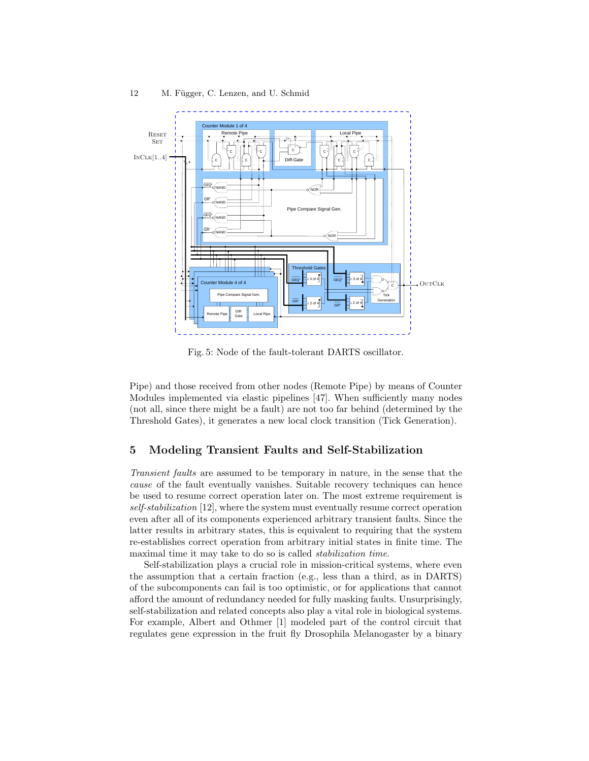

12 M. Függer, C. Lenzen, and U. Schmid

Fig. 5: Node of the fault-tolerant DARTS oscillator.

Pipe) and those received from other nodes (Remote Pipe) by means of Counter Modules implemented via elastic pipelines [47]. When sufficiently many nodes (not all, since there might be a fault) are not too far behind (determined by the Threshold Gates), it generates a new local clock transition (Tick Generation).

### 5 Modeling Transient Faults and Self-Stabilization

Transient faults are assumed to be temporary in nature, in the sense that the cause of the fault eventually vanishes. Suitable recovery techniques can hence be used to resume correct operation later on. The most extreme requirement is self-stabilization [12], where the system must eventually resume correct operation even after all of its components experienced arbitrary transient faults. Since the latter results in arbitrary states, this is equivalent to requiring that the system re-establishes correct operation from arbitrary initial states in finite time. The maximal time it may take to do so is called stabilization time.

Self-stabilization plays a crucial role in mission-critical systems, where even the assumption that a certain fraction (e.g., less than a third, as in DARTS) of the subcomponents can fail is too optimistic, or for applications that cannot afford the amount of redundancy needed for fully masking faults. Unsurprisingly, self-stabilization and related concepts also play a vital role in biological systems. For example, Albert and Othmer [1] modeled part of the control circuit that regulates gene expression in the fruit fly Drosophila Melanogaster by a binary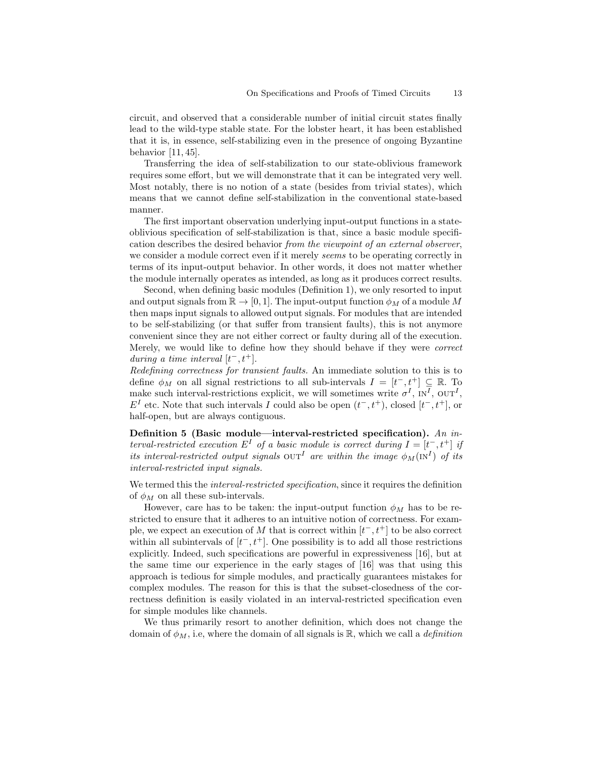circuit, and observed that a considerable number of initial circuit states finally lead to the wild-type stable state. For the lobster heart, it has been established that it is, in essence, self-stabilizing even in the presence of ongoing Byzantine behavior [11, 45].

Transferring the idea of self-stabilization to our state-oblivious framework requires some effort, but we will demonstrate that it can be integrated very well. Most notably, there is no notion of a state (besides from trivial states), which means that we cannot define self-stabilization in the conventional state-based manner.

The first important observation underlying input-output functions in a stateoblivious specification of self-stabilization is that, since a basic module specification describes the desired behavior from the viewpoint of an external observer, we consider a module correct even if it merely seems to be operating correctly in terms of its input-output behavior. In other words, it does not matter whether the module internally operates as intended, as long as it produces correct results.

Second, when defining basic modules (Definition 1), we only resorted to input and output signals from  $\mathbb{R} \to [0, 1]$ . The input-output function  $\phi_M$  of a module M then maps input signals to allowed output signals. For modules that are intended to be self-stabilizing (or that suffer from transient faults), this is not anymore convenient since they are not either correct or faulty during all of the execution. Merely, we would like to define how they should behave if they were correct during a time interval  $[t^-, t^+]$ .

Redefining correctness for transient faults. An immediate solution to this is to define  $\phi_M$  on all signal restrictions to all sub-intervals  $I = [t^-, t^+] \subseteq \mathbb{R}$ . To make such interval-restrictions explicit, we will sometimes write  $\sigma^I$ ,  $N^I$ ,  $\text{OUT}^I$ ,  $E<sup>I</sup>$  etc. Note that such intervals I could also be open  $(t<sup>-</sup>, t<sup>+</sup>)$ , closed  $[t<sup>-</sup>, t<sup>+</sup>]$ , or half-open, but are always contiguous.

Definition 5 (Basic module—interval-restricted specification). An interval-restricted execution  $E^I$  of a basic module is correct during  $I = [t^-, t^+]$  if its interval-restricted output signals  $\text{OUT}^I$  are within the image  $\phi_M(\text{IN}^I)$  of its interval-restricted input signals.

We termed this the *interval-restricted specification*, since it requires the definition of  $\phi_M$  on all these sub-intervals.

However, care has to be taken: the input-output function  $\phi_M$  has to be restricted to ensure that it adheres to an intuitive notion of correctness. For example, we expect an execution of M that is correct within  $[t^-, t^+]$  to be also correct within all subintervals of  $[t^-, t^+]$ . One possibility is to add all those restrictions explicitly. Indeed, such specifications are powerful in expressiveness [16], but at the same time our experience in the early stages of [16] was that using this approach is tedious for simple modules, and practically guarantees mistakes for complex modules. The reason for this is that the subset-closedness of the correctness definition is easily violated in an interval-restricted specification even for simple modules like channels.

We thus primarily resort to another definition, which does not change the domain of  $\phi_M$ , i.e, where the domain of all signals is  $\mathbb R$ , which we call a *definition*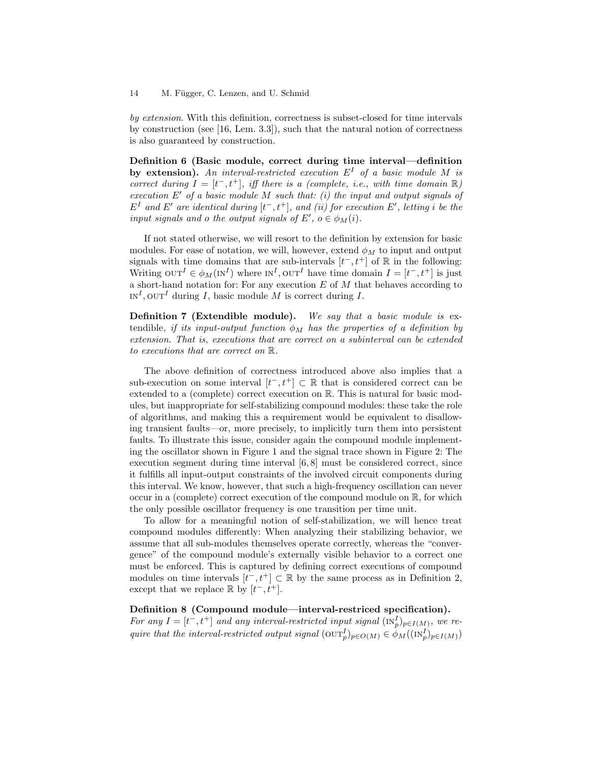by extension. With this definition, correctness is subset-closed for time intervals by construction (see [16, Lem. 3.3]), such that the natural notion of correctness is also guaranteed by construction.

Definition 6 (Basic module, correct during time interval—definition by extension). An interval-restricted execution  $E<sup>I</sup>$  of a basic module M is correct during  $I = [t^-, t^+]$ , iff there is a (complete, i.e., with time domain  $\mathbb{R}$ ) execution  $E'$  of a basic module M such that: (i) the input and output signals of  $E<sup>I</sup>$  and  $E'$  are identical during  $[t<sup>-</sup>, t<sup>+</sup>]$ , and (ii) for execution  $E'$ , letting i be the input signals and o the output signals of  $E'$ ,  $o \in \phi_M(i)$ .

If not stated otherwise, we will resort to the definition by extension for basic modules. For ease of notation, we will, however, extend  $\phi_M$  to input and output signals with time domains that are sub-intervals  $[t^-, t^+]$  of  $\mathbb R$  in the following: Writing  $\text{OUT}^I \in \phi_M(\text{IN}^I)$  where  $\text{IN}^I, \text{OUT}^I$  have time domain  $I = [t^-, t^+]$  is just a short-hand notation for: For any execution  $E$  of  $M$  that behaves according to  $IN^I$ ,  $OUT^I$  during I, basic module M is correct during I.

Definition 7 (Extendible module). We say that a basic module is extendible, if its input-output function  $\phi_M$  has the properties of a definition by extension. That is, executions that are correct on a subinterval can be extended to executions that are correct on R.

The above definition of correctness introduced above also implies that a sub-execution on some interval  $[t^-, t^+] \subset \mathbb{R}$  that is considered correct can be extended to a (complete) correct execution on R. This is natural for basic modules, but inappropriate for self-stabilizing compound modules: these take the role of algorithms, and making this a requirement would be equivalent to disallowing transient faults—or, more precisely, to implicitly turn them into persistent faults. To illustrate this issue, consider again the compound module implementing the oscillator shown in Figure 1 and the signal trace shown in Figure 2: The execution segment during time interval  $[6, 8]$  must be considered correct, since it fulfills all input-output constraints of the involved circuit components during this interval. We know, however, that such a high-frequency oscillation can never occur in a (complete) correct execution of the compound module on R, for which the only possible oscillator frequency is one transition per time unit.

To allow for a meaningful notion of self-stabilization, we will hence treat compound modules differently: When analyzing their stabilizing behavior, we assume that all sub-modules themselves operate correctly, whereas the "convergence" of the compound module's externally visible behavior to a correct one must be enforced. This is captured by defining correct executions of compound modules on time intervals  $[t^-, t^+] \subset \mathbb{R}$  by the same process as in Definition 2, except that we replace  $\mathbb R$  by  $[t^-, t^+]$ .

### Definition 8 (Compound module—interval-restriced specification).

For any  $I = [t^-, t^+]$  and any interval-restricted input signal  $(\text{IN}_p^I)_{p \in I(M)}$ , we require that the interval-restricted output signal  $(\text{OUT}_p^I)_{p \in O(M)} \in \phi_M((\text{IN}_p^I)_{p \in I(M)})$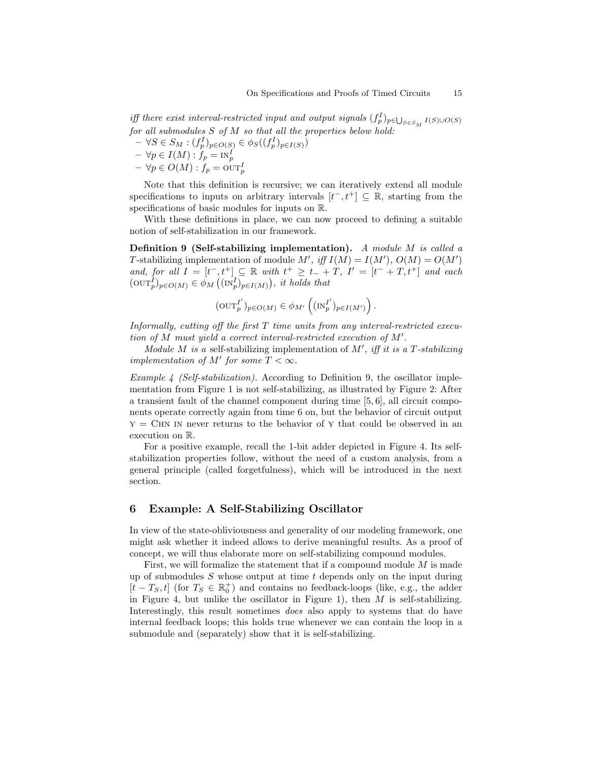iff there exist interval-restricted input and output signals  $(f_p^I)_{p \in \bigcup_{S \in S_M} I(S) \cup O(S)}$ for all submodules  $S$  of  $M$  so that all the properties below hold:

- $\forall S \in S_M : (f_p^I)_{p \in O(S)} \in \phi_S((f_p^I)_{p \in I(S)})$  $- \forall p \in I(M) : f_p = \text{IN}_p^I$
- $\forall p \in O(M) : f_p = \overline{\text{out}}_p^I$

Note that this definition is recursive; we can iteratively extend all module specifications to inputs on arbitrary intervals  $[t^-, t^+] \subseteq \mathbb{R}$ , starting from the specifications of basic modules for inputs on R.

With these definitions in place, we can now proceed to defining a suitable notion of self-stabilization in our framework.

Definition 9 (Self-stabilizing implementation). A module M is called a T-stabilizing implementation of module M', iff  $I(M) = I(M')$ ,  $O(M) = O(M')$ and, for all  $I = [t^-, t^+] \subseteq \mathbb{R}$  with  $t^+ \geq t^- + T$ ,  $I' = [t^- + T, t^+]$  and each  $(\text{OUT}_p^I)_{p \in O(M)} \in \phi_M((\text{IN}_p^I)_{p \in I(M)})$ , it holds that

$$
({\rm OUT}_p^{I'})_{p\in O(M)}\in \phi_{M'}\left(({\rm IN}_p^{I'})_{p\in I(M')}\right).
$$

Informally, cutting off the first T time units from any interval-restricted execution of M must yield a correct interval-restricted execution of M′ .

Module M is a self-stabilizing implementation of  $M'$ , iff it is a T-stabilizing implementation of M' for some  $T < \infty$ .

Example 4 (Self-stabilization). According to Definition 9, the oscillator implementation from Figure 1 is not self-stabilizing, as illustrated by Figure 2: After a transient fault of the channel component during time [5, 6], all circuit components operate correctly again from time 6 on, but the behavior of circuit output  $y = CHN$  IN never returns to the behavior of Y that could be observed in an execution on R.

For a positive example, recall the 1-bit adder depicted in Figure 4. Its selfstabilization properties follow, without the need of a custom analysis, from a general principle (called forgetfulness), which will be introduced in the next section.

#### 6 Example: A Self-Stabilizing Oscillator

In view of the state-obliviousness and generality of our modeling framework, one might ask whether it indeed allows to derive meaningful results. As a proof of concept, we will thus elaborate more on self-stabilizing compound modules.

First, we will formalize the statement that if a compound module  $M$  is made up of submodules  $S$  whose output at time  $t$  depends only on the input during  $[t - T<sub>S</sub>, t]$  (for  $T<sub>S</sub> ∈ ℝ<sub>0</sub><sup>+</sup>$ ) and contains no feedback-loops (like, e.g., the adder in Figure 4, but unlike the oscillator in Figure 1), then  $M$  is self-stabilizing. Interestingly, this result sometimes does also apply to systems that do have internal feedback loops; this holds true whenever we can contain the loop in a submodule and (separately) show that it is self-stabilizing.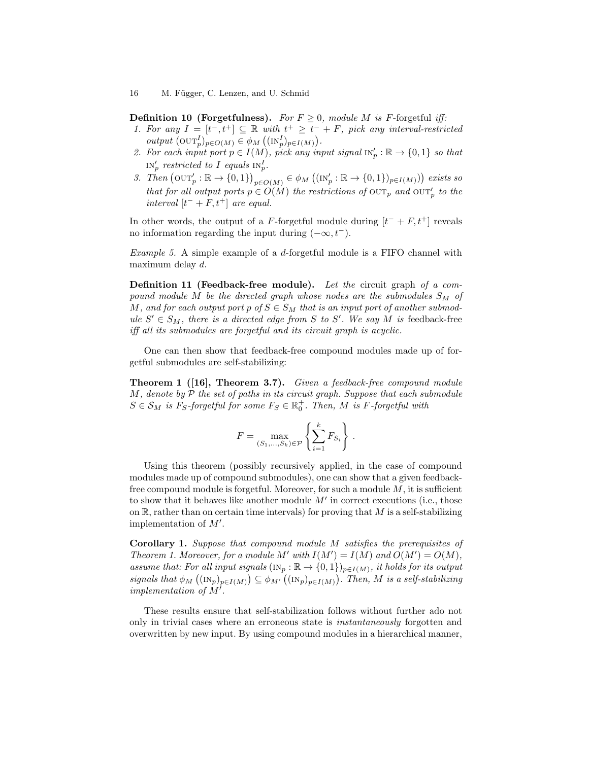#### 16 M. Függer, C. Lenzen, and U. Schmid

**Definition 10 (Forgetfulness).** For  $F \geq 0$ , module M is F-forgetful iff:

- 1. For any  $I = [t^-, t^+] \subseteq \mathbb{R}$  with  $t^+ \geq t^- + F$ , pick any interval-restricted output  $(\text{OUT}_p)_{p \in O(M)} \in \phi_M((\text{IN}_p^I)_{p \in I(M)})$ .
- 2. For each input port  $p \in I(M)$ , pick any input signal  $\text{IN}_p': \mathbb{R} \to \{0,1\}$  so that  $\text{IN}_p'$  restricted to I equals  $\text{IN}_p^I$ .
- 3. Then  $(\text{OUT}_p': \mathbb{R} \to \{0,1\})_{p \in O(M)} \in \phi_M((\text{IN}_p': \mathbb{R} \to \{0,1\})_{p \in I(M)})$  exists so that for all output ports  $p \in O(M)$  the restrictions of  $\text{OUT}_p$  and  $\text{OUT}_p'$  to the interval  $[t^- + F, t^+]$  are equal.

In other words, the output of a F-forgetful module during  $[t^- + F, t^+]$  reveals no information regarding the input during  $(-\infty, t^-)$ .

Example 5. A simple example of a d-forgetful module is a FIFO channel with maximum delay d.

Definition 11 (Feedback-free module). Let the circuit graph of a compound module M be the directed graph whose nodes are the submodules  $S_M$  of M, and for each output port p of  $S \in S_M$  that is an input port of another submodule  $S' \in S_M$ , there is a directed edge from S to S'. We say M is feedback-free iff all its submodules are forgetful and its circuit graph is acyclic.

One can then show that feedback-free compound modules made up of forgetful submodules are self-stabilizing:

**Theorem 1** ([16], **Theorem 3.7**). Given a feedback-free compound module  $M$ , denote by  $P$  the set of paths in its circuit graph. Suppose that each submodule  $S \in \mathcal{S}_M$  is  $F_S$ -forgetful for some  $F_S \in \mathbb{R}^+_0$ . Then, M is F-forgetful with

$$
F = \max_{(S_1, \dots, S_k) \in \mathcal{P}} \left\{ \sum_{i=1}^k F_{S_i} \right\}.
$$

Using this theorem (possibly recursively applied, in the case of compound modules made up of compound submodules), one can show that a given feedbackfree compound module is forgetful. Moreover, for such a module  $M$ , it is sufficient to show that it behaves like another module  $M'$  in correct executions (i.e., those on  $\mathbb{R}$ , rather than on certain time intervals) for proving that M is a self-stabilizing implementation of M′ .

Corollary 1. Suppose that compound module M satisfies the prerequisites of Theorem 1. Moreover, for a module M' with  $I(M') = I(M)$  and  $O(M') = O(M)$ , assume that: For all input signals  $(\text{IN}_p : \mathbb{R} \to \{0,1\})_{p \in I(M)}$ , it holds for its output signals that  $\phi_M((\text{IN}_p)_{p\in I(M)}) \subseteq \phi_{M'}((\text{IN}_p)_{p\in I(M)})$ . Then, M is a self-stabilizing implementation of  $M'$ .

These results ensure that self-stabilization follows without further ado not only in trivial cases where an erroneous state is instantaneously forgotten and overwritten by new input. By using compound modules in a hierarchical manner,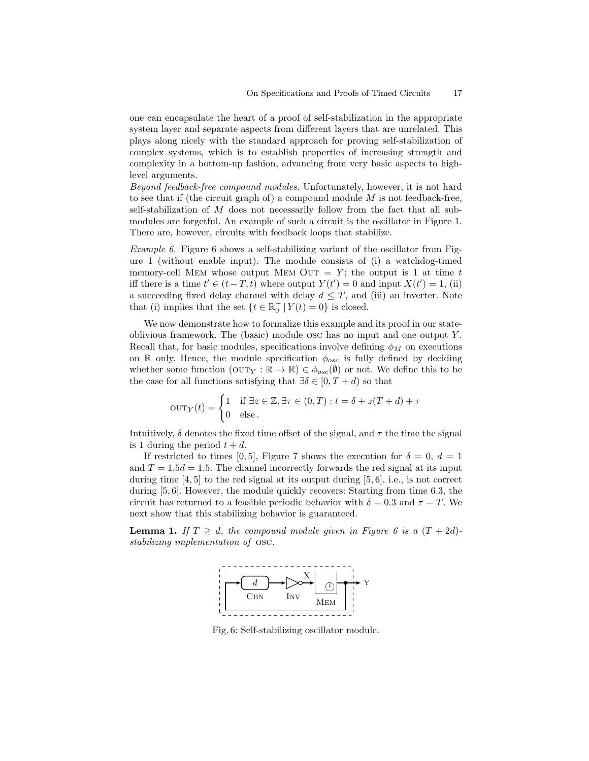one can encapsulate the heart of a proof of self-stabilization in the appropriate system layer and separate aspects from different layers that are unrelated. This plays along nicely with the standard approach for proving self-stabilization of complex systems, which is to establish properties of increasing strength and complexity in a bottom-up fashion, advancing from very basic aspects to highlevel arguments.

Beyond feedback-free compound modules. Unfortunately, however, it is not hard to see that if (the circuit graph of) a compound module  $M$  is not feedback-free, self-stabilization of  $M$  does not necessarily follow from the fact that all submodules are forgetful. An example of such a circuit is the oscillator in Figure 1. There are, however, circuits with feedback loops that stabilize.

Example 6. Figure 6 shows a self-stabilizing variant of the oscillator from Figure 1 (without enable input). The module consists of (i) a watchdog-timed memory-cell MEM whose output MEM OUT = Y; the output is 1 at time t iff there is a time  $t' \in (t-T,t)$  where output  $Y(t') = 0$  and input  $X(t') = 1$ , (ii) a succeeding fixed delay channel with delay  $d \leq T$ , and (iii) an inverter. Note that (i) implies that the set  $\{t \in \mathbb{R}^+_0 | Y(t) = 0\}$  is closed.

We now demonstrate how to formalize this example and its proof in our stateoblivious framework. The (basic) module osc has no input and one output Y . Recall that, for basic modules, specifications involve defining  $\phi_M$  on executions on R only. Hence, the module specification  $\phi_{osc}$  is fully defined by deciding whether some function  $(OUT_Y : \mathbb{R} \to \mathbb{R}) \in \phi_{osc}(\emptyset)$  or not. We define this to be the case for all functions satisfying that  $\exists \delta \in [0, T + d)$  so that

$$
OUT_Y(t) = \begin{cases} 1 & \text{if } \exists z \in \mathbb{Z}, \exists \tau \in (0, T) : t = \delta + z(T + d) + \tau \\ 0 & \text{else.} \end{cases}
$$

Intuitively,  $\delta$  denotes the fixed time offset of the signal, and  $\tau$  the time the signal is 1 during the period  $t + d$ .

If restricted to times [0, 5], Figure 7 shows the execution for  $\delta = 0, d = 1$ and  $T = 1.5d = 1.5$ . The channel incorrectly forwards the red signal at its input during time  $[4, 5]$  to the red signal at its output during  $[5, 6]$ , i.e., is not correct during [5, 6]. However, the module quickly recovers: Starting from time 6.3, the circuit has returned to a feasible periodic behavior with  $\delta = 0.3$  and  $\tau = T$ . We next show that this stabilizing behavior is guaranteed.

**Lemma 1.** If  $T \geq d$ , the compound module given in Figure 6 is a  $(T + 2d)$ stabilizing implementation of osc.



Fig. 6: Self-stabilizing oscillator module.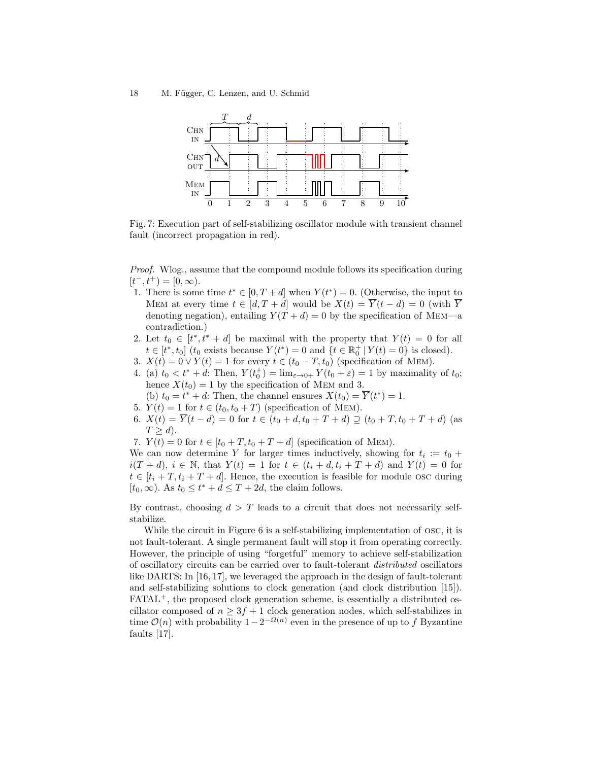18 M. Függer, C. Lenzen, and U. Schmid



Fig. 7: Execution part of self-stabilizing oscillator module with transient channel fault (incorrect propagation in red).

Proof. Wlog., assume that the compound module follows its specification during  $[t^-, t^+) = [0, \infty).$ 

- 1. There is some time  $t^* \in [0, T + d]$  when  $Y(t^*) = 0$ . (Otherwise, the input to MEM at every time  $t \in [d, T + d]$  would be  $X(t) = \overline{Y}(t - d) = 0$  (with  $\overline{Y}$ denoting negation), entailing  $Y(T + d) = 0$  by the specification of MEM—a contradiction.)
- 2. Let  $t_0 \in [t^*, t^* + d]$  be maximal with the property that  $Y(t) = 0$  for all  $t \in [t^*, t_0]$  ( $t_0$  exists because  $Y(t^*) = 0$  and  $\{t \in \mathbb{R}_0^+ | Y(t) = 0\}$  is closed).
- 3.  $X(t) = 0 \vee Y(t) = 1$  for every  $t \in (t_0 T, t_0)$  (specification of MEM).
- 4. (a)  $t_0 < t^* + d$ : Then,  $Y(t_0^+) = \lim_{\varepsilon \to 0^+} Y(t_0 + \varepsilon) = 1$  by maximality of  $t_0$ ; hence  $X(t_0) = 1$  by the specification of MEM and 3.
- (b)  $t_0 = t^* + d$ : Then, the channel ensures  $X(t_0) = \overline{Y}(t^*) = 1$ .
- 5.  $Y(t) = 1$  for  $t \in (t_0, t_0 + T)$  (specification of MEM).
- 6.  $X(t) = \overline{Y}(t-d) = 0$  for  $t \in (t_0 + d, t_0 + T + d) \supseteq (t_0 + T, t_0 + T + d)$  (as  $T \geq d$ ).
- 7.  $Y(t) = 0$  for  $t \in [t_0 + T, t_0 + T + d]$  (specification of MEM).

We can now determine Y for larger times inductively, showing for  $t_i := t_0 +$  $i(T + d), i \in \mathbb{N}$ , that  $Y(t) = 1$  for  $t \in (t_i + d, t_i + T + d)$  and  $Y(t) = 0$  for  $t \in [t_i + T, t_i + T + d]$ . Hence, the execution is feasible for module osc during  $[t_0, \infty)$ . As  $t_0 \leq t^* + d \leq T + 2d$ , the claim follows.

By contrast, choosing  $d > T$  leads to a circuit that does not necessarily selfstabilize.

While the circuit in Figure 6 is a self-stabilizing implementation of osc, it is not fault-tolerant. A single permanent fault will stop it from operating correctly. However, the principle of using "forgetful" memory to achieve self-stabilization of oscillatory circuits can be carried over to fault-tolerant distributed oscillators like DARTS: In [16, 17], we leveraged the approach in the design of fault-tolerant and self-stabilizing solutions to clock generation (and clock distribution [15]). FATAL<sup>+</sup>, the proposed clock generation scheme, is essentially a distributed oscillator composed of  $n \geq 3f + 1$  clock generation nodes, which self-stabilizes in time  $\mathcal{O}(n)$  with probability  $1 - 2^{-\Omega(n)}$  even in the presence of up to f Byzantine faults [17].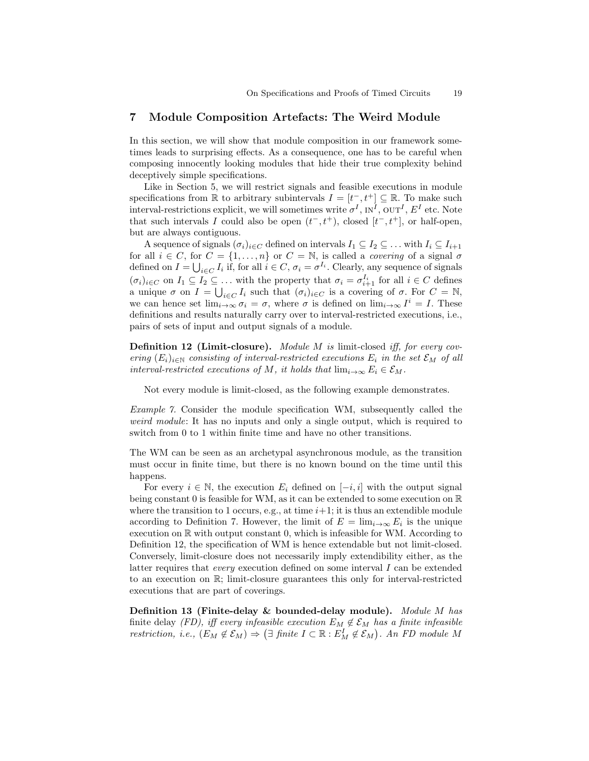## 7 Module Composition Artefacts: The Weird Module

In this section, we will show that module composition in our framework sometimes leads to surprising effects. As a consequence, one has to be careful when composing innocently looking modules that hide their true complexity behind deceptively simple specifications.

Like in Section 5, we will restrict signals and feasible executions in module specifications from  $\mathbb R$  to arbitrary subintervals  $I = [t^-, t^+] \subseteq \mathbb R$ . To make such interval-restrictions explicit, we will sometimes write  $\sigma^I$ ,  $N^I$ ,  $\text{OUT}^I$ ,  $E^I$  etc. Note that such intervals I could also be open  $(t^-, t^+)$ , closed  $[t^-, t^+]$ , or half-open, but are always contiguous.

A sequence of signals  $(\sigma_i)_{i\in C}$  defined on intervals  $I_1 \subseteq I_2 \subseteq \ldots$  with  $I_i \subseteq I_{i+1}$ for all  $i \in C$ , for  $C = \{1, ..., n\}$  or  $C = \mathbb{N}$ , is called a *covering* of a signal  $\sigma$ defined on  $I = \bigcup_{i \in C} I_i$  if, for all  $i \in C$ ,  $\sigma_i = \sigma^{I_i}$ . Clearly, any sequence of signals  $(\sigma_i)_{i \in C}$  on  $I_1 \subseteq I_2 \subseteq \ldots$  with the property that  $\sigma_i = \sigma_{i+1}^{I_i}$  for all  $i \in C$  defines a unique  $\sigma$  on  $I = \bigcup_{i \in C} I_i$  such that  $(\sigma_i)_{i \in C}$  is a covering of  $\sigma$ . For  $C = \mathbb{N}$ , we can hence set  $\lim_{i\to\infty}\sigma_i=\sigma$ , where  $\sigma$  is defined on  $\lim_{i\to\infty}I^i=I$ . These definitions and results naturally carry over to interval-restricted executions, i.e., pairs of sets of input and output signals of a module.

**Definition 12 (Limit-closure).** Module M is limit-closed iff, for every covering  $(E_i)_{i\in\mathbb{N}}$  consisting of interval-restricted executions  $E_i$  in the set  $\mathcal{E}_M$  of all interval-restricted executions of M, it holds that  $\lim_{i\to\infty} E_i \in \mathcal{E}_M$ .

Not every module is limit-closed, as the following example demonstrates.

Example 7. Consider the module specification WM, subsequently called the weird module: It has no inputs and only a single output, which is required to switch from 0 to 1 within finite time and have no other transitions.

The WM can be seen as an archetypal asynchronous module, as the transition must occur in finite time, but there is no known bound on the time until this happens.

For every  $i \in \mathbb{N}$ , the execution  $E_i$  defined on  $[-i, i]$  with the output signal being constant 0 is feasible for WM, as it can be extended to some execution on  $\mathbb R$ where the transition to 1 occurs, e.g., at time  $i+1$ ; it is thus an extendible module according to Definition 7. However, the limit of  $E = \lim_{i \to \infty} E_i$  is the unique execution on R with output constant 0, which is infeasible for WM. According to Definition 12, the specification of WM is hence extendable but not limit-closed. Conversely, limit-closure does not necessarily imply extendibility either, as the latter requires that every execution defined on some interval I can be extended to an execution on R; limit-closure guarantees this only for interval-restricted executions that are part of coverings.

Definition 13 (Finite-delay & bounded-delay module). Module M has finite delay (FD), iff every infeasible execution  $E_M \notin \mathcal{E}_M$  has a finite infeasible restriction, i.e.,  $(E_M \notin \mathcal{E}_M) \Rightarrow (\exists \text{ finite } I \subset \mathbb{R} : E_M^I \notin \mathcal{E}_M)$ . An FD module M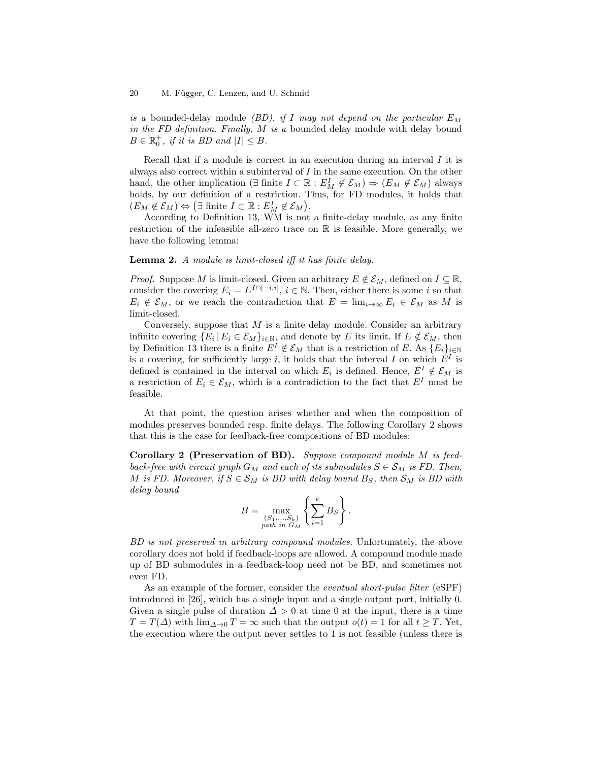is a bounded-delay module *(BD)*, if I may not depend on the particular  $E_M$ in the FD definition. Finally, M is a bounded delay module with delay bound  $B \in \mathbb{R}_0^+$ , if it is BD and  $|I| \leq B$ .

Recall that if a module is correct in an execution during an interval  $I$  it is always also correct within a subinterval of I in the same execution. On the other hand, the other implication ( $\exists$  finite  $I \subset \mathbb{R} : E_M^I \notin \mathcal{E}_M$ )  $\Rightarrow$   $(E_M \notin \mathcal{E}_M)$  always holds, by our definition of a restriction. Thus, for FD modules, it holds that  $(E_M \not\in \mathcal{E}_M) \Leftrightarrow (\exists \text{ finite } I \subset \mathbb{R} : E_M^I \not\in \mathcal{E}_M).$ 

According to Definition 13, WM is not a finite-delay module, as any finite restriction of the infeasible all-zero trace on  $\mathbb R$  is feasible. More generally, we have the following lemma:

#### Lemma 2. A module is limit-closed iff it has finite delay.

*Proof.* Suppose M is limit-closed. Given an arbitrary  $E \notin \mathcal{E}_M$ , defined on  $I \subseteq \mathbb{R}$ , consider the covering  $E_i = E^{I \cap [-i,i]}$ ,  $i \in \mathbb{N}$ . Then, either there is some i so that  $E_i \notin \mathcal{E}_M$ , or we reach the contradiction that  $E = \lim_{i \to \infty} E_i \in \mathcal{E}_M$  as M is limit-closed.

Conversely, suppose that  $M$  is a finite delay module. Consider an arbitrary infinite covering  $\{E_i \mid E_i \in \mathcal{E}_M\}_{i \in \mathbb{N}}$ , and denote by E its limit. If  $E \notin \mathcal{E}_M$ , then by Definition 13 there is a finite  $E^I \notin \mathcal{E}_M$  that is a restriction of E. As  $\{E_i\}_{i\in\mathbb{N}}$ is a covering, for sufficiently large i, it holds that the interval I on which  $E^I$  is defined is contained in the interval on which  $E_i$  is defined. Hence,  $E^I \notin \mathcal{E}_M$  is a restriction of  $E_i \in \mathcal{E}_M$ , which is a contradiction to the fact that  $E^I$  must be feasible.

At that point, the question arises whether and when the composition of modules preserves bounded resp. finite delays. The following Corollary 2 shows that this is the case for feedback-free compositions of BD modules:

Corollary 2 (Preservation of BD). Suppose compound module M is feedback-free with circuit graph  $G_M$  and each of its submodules  $S \in \mathcal{S}_M$  is FD. Then, M is FD. Moreover, if  $S \in \mathcal{S}_M$  is BD with delay bound  $B_S$ , then  $\mathcal{S}_M$  is BD with delay bound

$$
B = \max_{\substack{(S_1,\ldots,S_k)\\path \ in \ G_M}} \left\{ \sum_{i=1}^k B_S \right\}.
$$

BD is not preserved in arbitrary compound modules. Unfortunately, the above corollary does not hold if feedback-loops are allowed. A compound module made up of BD submodules in a feedback-loop need not be BD, and sometimes not even FD.

As an example of the former, consider the *eventual short-pulse filter* (eSPF) introduced in [26], which has a single input and a single output port, initially 0. Given a single pulse of duration  $\Delta > 0$  at time 0 at the input, there is a time  $T = T(\Delta)$  with  $\lim_{\Delta \to 0} T = \infty$  such that the output  $o(t) = 1$  for all  $t \geq T$ . Yet, the execution where the output never settles to 1 is not feasible (unless there is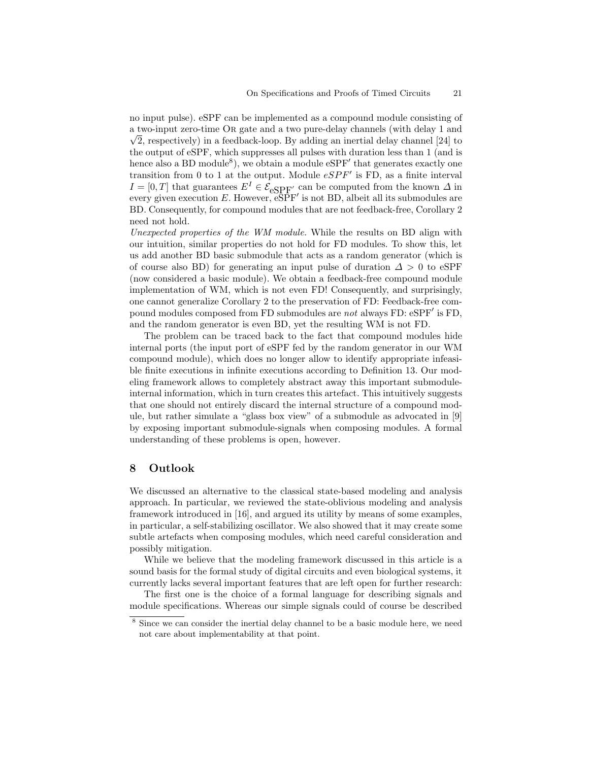no input pulse). eSPF can be implemented as a compound module consisting of a two-input zero-time √ Or gate and a two pure-delay channels (with delay 1 and  $\sqrt{2}$ , respectively) in a feedback-loop. By adding an inertial delay channel [24] to the output of eSPF, which suppresses all pulses with duration less than 1 (and is hence also a BD module<sup>8</sup>), we obtain a module  $eSPF'$  that generates exactly one transition from 0 to 1 at the output. Module  $eSPF'$  is FD, as a finite interval  $I = [0, T]$  that guarantees  $E^I \in \mathcal{E}_{eSPF'}$  can be computed from the known  $\Delta$  in every given execution  $E$ . However,  $e^{S P}F'$  is not BD, albeit all its submodules are BD. Consequently, for compound modules that are not feedback-free, Corollary 2 need not hold.

Unexpected properties of the WM module. While the results on BD align with our intuition, similar properties do not hold for FD modules. To show this, let us add another BD basic submodule that acts as a random generator (which is of course also BD) for generating an input pulse of duration  $\Delta > 0$  to eSPF (now considered a basic module). We obtain a feedback-free compound module implementation of WM, which is not even FD! Consequently, and surprisingly, one cannot generalize Corollary 2 to the preservation of FD: Feedback-free compound modules composed from FD submodules are not always FD: eSPF' is FD, and the random generator is even BD, yet the resulting WM is not FD.

The problem can be traced back to the fact that compound modules hide internal ports (the input port of eSPF fed by the random generator in our WM compound module), which does no longer allow to identify appropriate infeasible finite executions in infinite executions according to Definition 13. Our modeling framework allows to completely abstract away this important submoduleinternal information, which in turn creates this artefact. This intuitively suggests that one should not entirely discard the internal structure of a compound module, but rather simulate a "glass box view" of a submodule as advocated in [9] by exposing important submodule-signals when composing modules. A formal understanding of these problems is open, however.

#### 8 Outlook

We discussed an alternative to the classical state-based modeling and analysis approach. In particular, we reviewed the state-oblivious modeling and analysis framework introduced in [16], and argued its utility by means of some examples, in particular, a self-stabilizing oscillator. We also showed that it may create some subtle artefacts when composing modules, which need careful consideration and possibly mitigation.

While we believe that the modeling framework discussed in this article is a sound basis for the formal study of digital circuits and even biological systems, it currently lacks several important features that are left open for further research:

The first one is the choice of a formal language for describing signals and module specifications. Whereas our simple signals could of course be described

<sup>8</sup> Since we can consider the inertial delay channel to be a basic module here, we need not care about implementability at that point.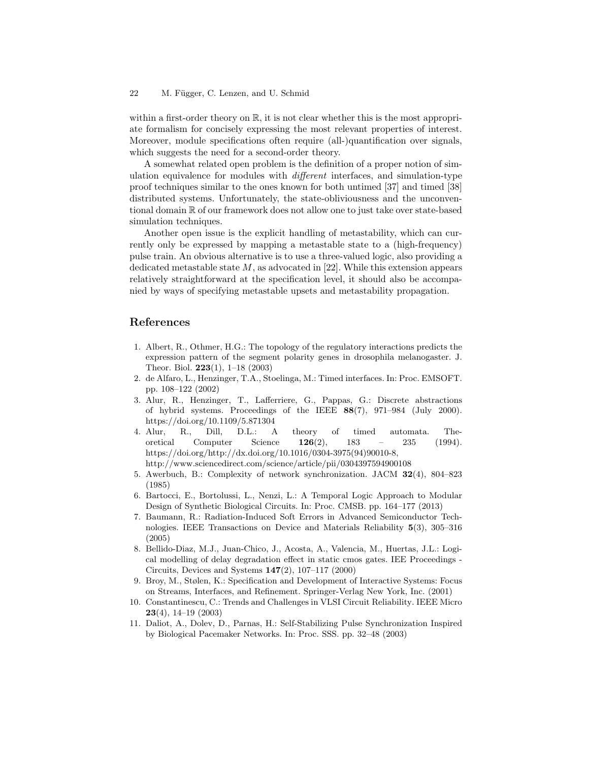#### 22 M. Függer, C. Lenzen, and U. Schmid

within a first-order theory on  $\mathbb{R}$ , it is not clear whether this is the most appropriate formalism for concisely expressing the most relevant properties of interest. Moreover, module specifications often require (all-)quantification over signals, which suggests the need for a second-order theory.

A somewhat related open problem is the definition of a proper notion of simulation equivalence for modules with different interfaces, and simulation-type proof techniques similar to the ones known for both untimed [37] and timed [38] distributed systems. Unfortunately, the state-obliviousness and the unconventional domain R of our framework does not allow one to just take over state-based simulation techniques.

Another open issue is the explicit handling of metastability, which can currently only be expressed by mapping a metastable state to a (high-frequency) pulse train. An obvious alternative is to use a three-valued logic, also providing a dedicated metastable state  $M$ , as advocated in [22]. While this extension appears relatively straightforward at the specification level, it should also be accompanied by ways of specifying metastable upsets and metastability propagation.

# References

- 1. Albert, R., Othmer, H.G.: The topology of the regulatory interactions predicts the expression pattern of the segment polarity genes in drosophila melanogaster. J. Theor. Biol. 223(1), 1–18 (2003)
- 2. de Alfaro, L., Henzinger, T.A., Stoelinga, M.: Timed interfaces. In: Proc. EMSOFT. pp. 108–122 (2002)
- 3. Alur, R., Henzinger, T., Lafferriere, G., Pappas, G.: Discrete abstractions of hybrid systems. Proceedings of the IEEE 88(7), 971–984 (July 2000). https://doi.org/10.1109/5.871304
- 4. Alur, R., Dill, D.L.: A theory of timed automata. Theoretical Computer Science 126(2), 183 – 235 (1994). https://doi.org/http://dx.doi.org/10.1016/0304-3975(94)90010-8, http://www.sciencedirect.com/science/article/pii/0304397594900108
- 5. Awerbuch, B.: Complexity of network synchronization. JACM 32(4), 804–823 (1985)
- 6. Bartocci, E., Bortolussi, L., Nenzi, L.: A Temporal Logic Approach to Modular Design of Synthetic Biological Circuits. In: Proc. CMSB. pp. 164–177 (2013)
- 7. Baumann, R.: Radiation-Induced Soft Errors in Advanced Semiconductor Technologies. IEEE Transactions on Device and Materials Reliability 5(3), 305–316 (2005)
- 8. Bellido-Diaz, M.J., Juan-Chico, J., Acosta, A., Valencia, M., Huertas, J.L.: Logical modelling of delay degradation effect in static cmos gates. IEE Proceedings - Circuits, Devices and Systems 147(2), 107–117 (2000)
- 9. Broy, M., Stølen, K.: Specification and Development of Interactive Systems: Focus on Streams, Interfaces, and Refinement. Springer-Verlag New York, Inc. (2001)
- 10. Constantinescu, C.: Trends and Challenges in VLSI Circuit Reliability. IEEE Micro 23(4), 14–19 (2003)
- 11. Daliot, A., Dolev, D., Parnas, H.: Self-Stabilizing Pulse Synchronization Inspired by Biological Pacemaker Networks. In: Proc. SSS. pp. 32–48 (2003)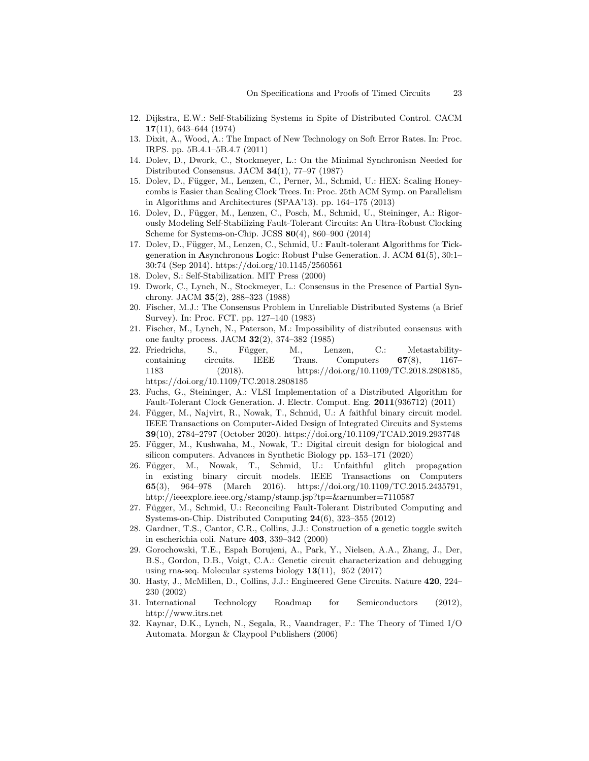- 12. Dijkstra, E.W.: Self-Stabilizing Systems in Spite of Distributed Control. CACM 17(11), 643–644 (1974)
- 13. Dixit, A., Wood, A.: The Impact of New Technology on Soft Error Rates. In: Proc. IRPS. pp. 5B.4.1–5B.4.7 (2011)
- 14. Dolev, D., Dwork, C., Stockmeyer, L.: On the Minimal Synchronism Needed for Distributed Consensus. JACM 34(1), 77–97 (1987)
- 15. Dolev, D., Függer, M., Lenzen, C., Perner, M., Schmid, U.: HEX: Scaling Honeycombs is Easier than Scaling Clock Trees. In: Proc. 25th ACM Symp. on Parallelism in Algorithms and Architectures (SPAA'13). pp. 164–175 (2013)
- 16. Dolev, D., Függer, M., Lenzen, C., Posch, M., Schmid, U., Steininger, A.: Rigorously Modeling Self-Stabilizing Fault-Tolerant Circuits: An Ultra-Robust Clocking Scheme for Systems-on-Chip. JCSS 80(4), 860–900 (2014)
- 17. Dolev, D., Függer, M., Lenzen, C., Schmid, U.: Fault-tolerant Algorithms for Tickgeneration in Asynchronous Logic: Robust Pulse Generation. J. ACM 61(5), 30:1– 30:74 (Sep 2014). https://doi.org/10.1145/2560561
- 18. Dolev, S.: Self-Stabilization. MIT Press (2000)
- 19. Dwork, C., Lynch, N., Stockmeyer, L.: Consensus in the Presence of Partial Synchrony. JACM 35(2), 288–323 (1988)
- 20. Fischer, M.J.: The Consensus Problem in Unreliable Distributed Systems (a Brief Survey). In: Proc. FCT. pp. 127–140 (1983)
- 21. Fischer, M., Lynch, N., Paterson, M.: Impossibility of distributed consensus with one faulty process. JACM 32(2), 374–382 (1985)
- 22. Friedrichs, S., Függer, M., Lenzen, C.: Metastabilitycontaining circuits. IEEE Trans. Computers 67(8), 1167– 1183 (2018). https://doi.org/10.1109/TC.2018.2808185, https://doi.org/10.1109/TC.2018.2808185
- 23. Fuchs, G., Steininger, A.: VLSI Implementation of a Distributed Algorithm for Fault-Tolerant Clock Generation. J. Electr. Comput. Eng. 2011(936712) (2011)
- 24. Függer, M., Najvirt, R., Nowak, T., Schmid, U.: A faithful binary circuit model. IEEE Transactions on Computer-Aided Design of Integrated Circuits and Systems 39(10), 2784–2797 (October 2020). https://doi.org/10.1109/TCAD.2019.2937748
- 25. Függer, M., Kushwaha, M., Nowak, T.: Digital circuit design for biological and silicon computers. Advances in Synthetic Biology pp. 153–171 (2020)
- 26. F¨ugger, M., Nowak, T., Schmid, U.: Unfaithful glitch propagation in existing binary circuit models. IEEE Transactions on Computers 65(3), 964–978 (March 2016). https://doi.org/10.1109/TC.2015.2435791, http://ieeexplore.ieee.org/stamp/stamp.jsp?tp=&arnumber=7110587
- 27. Függer, M., Schmid, U.: Reconciling Fault-Tolerant Distributed Computing and Systems-on-Chip. Distributed Computing 24(6), 323–355 (2012)
- 28. Gardner, T.S., Cantor, C.R., Collins, J.J.: Construction of a genetic toggle switch in escherichia coli. Nature 403, 339–342 (2000)
- 29. Gorochowski, T.E., Espah Borujeni, A., Park, Y., Nielsen, A.A., Zhang, J., Der, B.S., Gordon, D.B., Voigt, C.A.: Genetic circuit characterization and debugging using rna-seq. Molecular systems biology  $13(11)$ ,  $952(2017)$
- 30. Hasty, J., McMillen, D., Collins, J.J.: Engineered Gene Circuits. Nature 420, 224– 230 (2002)
- 31. International Technology Roadmap for Semiconductors (2012), http://www.itrs.net
- 32. Kaynar, D.K., Lynch, N., Segala, R., Vaandrager, F.: The Theory of Timed I/O Automata. Morgan & Claypool Publishers (2006)